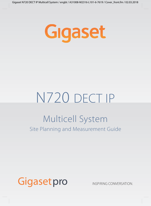

# N720 DECT IP Site Planning and Measurement Guide Multicell System

# Gigasetpro

INSPIRING CONVERSATION.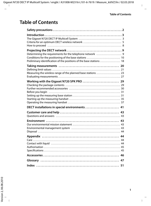# **Table of Contents**

| Preliminary identification of the positions of the base stations  18 |    |
|----------------------------------------------------------------------|----|
| Measuring the wireless range of the planned base stations  23        |    |
| Working with the Gigaset N720 SPK PRO  29                            |    |
| DECT installations in special environments  41                       |    |
|                                                                      |    |
|                                                                      |    |
|                                                                      |    |
|                                                                      |    |
|                                                                      | 47 |
|                                                                      |    |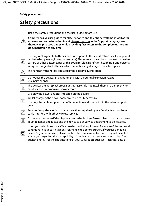# **Safety precautions**

|                               | Read the safety precautions and the user guide before use.                                                                                                                                                                                                                                                                                                                                                                                                 |
|-------------------------------|------------------------------------------------------------------------------------------------------------------------------------------------------------------------------------------------------------------------------------------------------------------------------------------------------------------------------------------------------------------------------------------------------------------------------------------------------------|
|                               | Comprehensive user guides for all telephones and telephone systems as well as for<br>accessories can be found online at gigasetpro.com in the Support category. We<br>thereby help to save paper while providing fast access to the complete up-to-date<br>documentation at any time.                                                                                                                                                                      |
|                               |                                                                                                                                                                                                                                                                                                                                                                                                                                                            |
| $ \mathcal{S} $               | Use only rechargeable batteries that correspond to the specification (see list of permit-<br>ted batteries  ighthorographs (non-rechargeable) below the above the distributional (non-rechargeable)<br>battery or other battery types as this could result in significant health risks and personal<br>injury. Rechargeable batteries, which are noticeably damaged, must be replaced.                                                                     |
| ⚠                             | The handset must not be operated if the battery cover is open.                                                                                                                                                                                                                                                                                                                                                                                             |
| 当                             | Do not use the devices in environments with a potential explosion hazard<br>(e.g. paint shops).                                                                                                                                                                                                                                                                                                                                                            |
| K                             | The devices are not splashproof. For this reason do not install them in a damp environ-<br>ment such as bathrooms or shower rooms.                                                                                                                                                                                                                                                                                                                         |
|                               | Use only the power adapter indicated on the device.                                                                                                                                                                                                                                                                                                                                                                                                        |
|                               | Whilst charging, the power socket must be easily accessible.                                                                                                                                                                                                                                                                                                                                                                                               |
| $\underline{\mathbb{U}}^\ast$ | Use only the cable supplied for LAN connection and connect it to the intended ports<br>only.                                                                                                                                                                                                                                                                                                                                                               |
| ✓                             | Remove faulty devices from use or have them repaired by our Service team, as these<br>could interfere with other wireless services.                                                                                                                                                                                                                                                                                                                        |
| ¥                             | Do not use the device if the display is cracked or broken. Broken glass or plastic can cause<br>injury to hands and face. Send the device to our Service department to be repaired.                                                                                                                                                                                                                                                                        |
| V                             | Using your telephone may affect nearby medical equipment. Be aware of the technical<br>conditions in your particular environment, e.g. doctor's surgery. If you use a medical<br>device (e.g. a pacemaker), please contact the device manufacturer. They will be able to<br>advise you regarding the susceptibility of the device to external sources of high fre-<br>quency energy (for the specifications of your Gigaset product see "Technical data"). |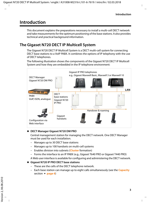### <span id="page-4-0"></span>**Introduction**

This document explains the preparations necessary to install a multi-cell DECT network and take measurements for the optimum positioning of the base stations. It also provides technical and practical background information.

### <span id="page-4-1"></span>**The Gigaset N720 DECT IP Multicell System**

<span id="page-4-7"></span><span id="page-4-6"></span><span id="page-4-3"></span>The Gigaset N720 DECT IP Multicell System is a DECT multi-cell system for connecting DECT base stations to a VoIP PABX. It combines the options of IP telephony with the use of DECT telephones.

The following illustration shows the components of the Gigaset N720 DECT IP Multicell System and how they are embedded in the IP telephone environment:



#### <span id="page-4-4"></span>◆ **DECT Manager Gigaset N720 DM PRO**

<span id="page-4-2"></span>Central management station for managing the DECT network. One DECT Manager must be used for each installation.

- Manages up to 30 DECT base stations
- Manages up to 100 handsets on multi-cell systems
- Enables division into subnets (**[Cluster](#page-48-1)** formation)
- Forms the interface to an IP PABX (e.g., Gigaset T640 PRO or Gigaset T440 PRO)

<span id="page-4-5"></span>A Web user interface is available for configuring and administering the DECT network.

#### ◆ Gigaset N720 IP PRO DECT base stations

- These are the cells of the DECT telephone network.
- Each b[ase station](#page-7-0) can manage up to eight calls simultaneously (see the **[Capacity](#page-7-0)** section  $\rightarrow$  **page 6**)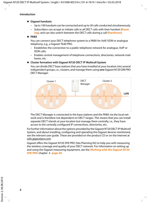- ◆ Gigaset handsets
	- Up to 100 handsets can be connected and up to 30 calls conducted simultaneously.
	- Subscribers can accept or initiate calls in all DECT cells with their handset (**[Roam](#page-51-0)[ing](#page-51-0)**), and can also switch between the DECT cells during a call (**[Handover](#page-50-0)**).

**← PABX** 

<span id="page-5-2"></span><span id="page-5-1"></span>You can connect your DECT telephone system to a PABX for VoIP, ISDN or analogue telephony, e.g., a Gigaset T640 PRO.

- Establishes the connection to a public telephone network for analogue, VoIP or ISDN calls.
- Enables central management of telephone connections, directories, network mailboxes, etc.

#### <span id="page-5-0"></span>◆ Cluster formation with Gigaset N720 DECT IP Multicell System

You can divide DECT base stations that you have installed at your location into several independent groups, i.e., clusters, and manage them using **one** Gigaset N720 DM PRO DECT Manager.



The DECT Manager is connected to the base stations and the PABX via the local network and is therefore not dependent on DECT ranges. This means that you can install separate DECT islands at your location but manage them centrally, i.e., they have access to the centrally configured IP connections, directories, etc.

For further information about the options provided by the Gigaset N720 DECT IP Multicell System, and about installing, configuring and operating the Gigaset devices mentioned, see the relevant user guide. These are provided on the product CD or on the Internet at <wiki.gigasetpro.com>.

Gigaset offers the Gigaset N720 SPK PRO (Site Planning Kit) to help you with measuring the wireless coverage and quality of your DECT network. For information on setting up and using the Gig[aset measur](#page-30-2)ing equipment, see the **[Working with the Gigaset N720](#page-30-2)  [SPK PRO](#page-30-2)** chapter → **page 29.**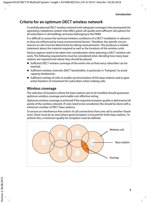### <span id="page-6-0"></span>**Criteria for an optimum DECT wireless network**

A carefully planned DECT wireless network with adequate coverage is the prerequisite for operating a telephone system that offers good call quality and sufficient call options for all subscribers in all buildings and areas belonging to the PABX.

It is difficult to assess the technical wireless conditions of a DECT installation in advance as they are influenced by many environmental factors. Therefore, the specific circumstances on-site must be determined by taking measurements. This produces a reliable statement about the material required as well as the locations of the wireless units.

<span id="page-6-1"></span>Various aspects need to be taken into consideration when planning a DECT wireless network. The following requirements must be considered when deciding how many base stations are required and where they should be placed:

- $\blacklozenge$  Sufficient DECT wireless coverage of the entire site so that every subscriber can be reached.
- ◆ Sufficient wireless channels (DECT bandwidth), in particular in "hotspots", to avoid capacity bottlenecks.
- $\blacklozenge$  Sufficient overlap of cells to enable synchronisation of the base stations and to quarantee freedom of movement for subscribers when making calls.

### **Wireless coverage**

<span id="page-6-2"></span>The selection of locations where the base stations are to be installed should guarantee optimum wireless coverage and enable cost-effective wiring.

<span id="page-6-3"></span>Optimum wireless coverage is achieved if the required reception quality is delivered at all points of the wireless network. If costs need to be considered, this should be done with a minimum number of DECT base stations.

To ensure an interference-free switch of call connections from one cell to another (handover), there must be an area where good reception is ensured for both base stations. To achieve this, a minimum quality for reception must be defined.

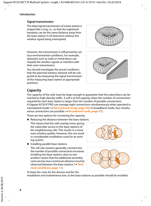#### **Introduction**

### <span id="page-7-4"></span>**Signal transmission**

The ideal signal transmission of a base station is shaped like a ring, i.e., so that the registered handsets can be the same distance away from the base station in all directions without the wireless signal being interrupted.

However, the transmission is influenced by various environmental conditions. For example, obstacles such as walls or metal doors can impede the wireless signals or interfere with their even transmission.

You should investigate the actual conditions that the planned wireless network will be subjected to by measuring the signal transmission of the measuring base station at appropriate positions.



### <span id="page-7-0"></span>**Capacity**

<span id="page-7-2"></span>The capacity of the cells must be large enough to guarantee that the subscribers can be reached in high-density traffic. A cell is at full capacity when the number of connections required for each base station is larger than the number of possible connections.

<span id="page-7-3"></span>A Gigaset N720 IP PRO can manage eight connections simultaneously when operated in narrowband mode ( $\rightarrow$  **[Narrowband mode](#page-50-1), [page 49](#page-50-1)**). In broadband mode, four simultaneous connections are possible (£**[Broadband mode](#page-48-2)**, **[page 47](#page-48-2)**).

There are two options for increasing the capacity:

 $\blacklozenge$  Reducing the distance between the base stations. This means that the cells overlap more, giving the subscriber access to the base stations of the neighbouring cells. This results in a more even wireless quality. However, this can result in considerable installation costs for an existing system.

<span id="page-7-1"></span>

 $\triangleleft$  Installing parallel base stations.

The cell size remains generally constant but the number of possible connections increases. Installing the base stations close to one another means that the additional assembly costs are low, but a minimum distance must be observed between the base stations (£**Technical conditions**, **[page 11](#page-12-0)**).



To keep the costs for the devices and for the

installation and maintenance low, as few base stations as possible should be installed.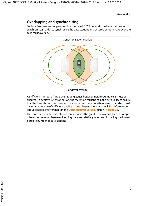### **Overlapping and synchronising**

<span id="page-8-0"></span>For interference-free cooperation in a multi-cell DECT network, the base stations must synchronise. In order to synchronise the base stations and ensure a smooth handover, the cells must overlap.



A sufficient number of large overlapping zones between neighbouring cells must be ensured. To achieve synchronisation, the reception must be of sufficient quality to ensure that the base stations can receive one another securely. For a handover, a handset must have a connection of sufficient quality to both base stations. You [will find infor](#page-22-1)mation about possible interferences in the **[Defining limit values](#page-22-1)** section £**page 21**.

The more densely the base stations are installed, the greater the overlap. Here, a compromise must be found between keeping the area relatively open and installing the lowest possible number of base stations.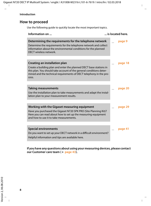### <span id="page-9-0"></span>**How to proceed**

Use the following guide to quickly locate the most important topics.

| Information on                                                                                                                                                                                                                                            | is located here. |
|-----------------------------------------------------------------------------------------------------------------------------------------------------------------------------------------------------------------------------------------------------------|------------------|
| Determining the requirements for the telephone network<br>Determine the requirements for the telephone network and collect<br>information about the environmental conditions for the planned<br>DECT wireless network.                                    | page 9           |
| Creating an installation plan<br>Create a building plan and enter the planned DECT base stations in<br>this plan. You should take account of the general conditions deter-<br>mined and the technical requirements of DECT telephony in the pro-<br>cess. | page 18          |
| <b>Taking measurements</b><br>Use the installation plan to take measurements and adapt the instal-<br>lation plan to your measurement results.                                                                                                            | page 20          |
| Working with the Gigaset measuring equipment<br>Have you purchased the Gigaset N720 SPK PRO (Site Planning Kit)?<br>Here you can read about how to set up the measuring equipment<br>and how to use it to take measurements.                              | page 29          |
|                                                                                                                                                                                                                                                           |                  |
| <b>Special environments</b><br>Do you want to set up your DECT network in a difficult environment?<br>Helpful information and tips are available here.                                                                                                    | page 41          |

**If you have any questions about using your measuring devices, please contact our Customer care team (** $\rightarrow$  [page 43\).](#page-44-5)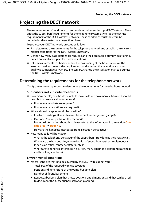## <span id="page-10-3"></span><span id="page-10-0"></span>**Projecting the DECT network**

<span id="page-10-5"></span>There are a number of conditions to be considered when setting up a DECT network. They affect the subscribers' requirements for the telephone system as well as the technical requirements for the DECT wireless network. These conditions must therefore be recorded and evaluated in a projection phase.

<span id="page-10-4"></span>To project your DECT network, proceed as follows:

- $\blacklozenge$  First determine the requirements for the telephone network and establish the environmental conditions for the DECT wireless network.
- $\blacklozenge$  Define how many base stations are required and their probable optimum positioning. Create an installation plan for the base stations.
- $\blacklozenge$  Take measurements to check whether the positioning of the base stations at the assumed positions meets the requirements and whether the reception and sound quality is sufficient everywhere. If necessary, change the installation plan to optimise the DECT wireless network.

### <span id="page-10-2"></span><span id="page-10-1"></span>**Determining the requirements for the telephone network**

<span id="page-10-6"></span>Clarify the following questions to determine the requirements for the telephone network:

#### **Subscribers and subscriber behaviour**

- $\blacklozenge$  How many employees should be able to make calls and how many subscribers should be able to make calls simultaneously?
	- How many handsets are required?
	- How many base stations are required?
- $\blacklozenge$  Where should telephone calls be possible?
	- In which buildings (floors, stairwell, basement, underground garage)?
	- Outdoors (on footpaths, on the car park)? For more i[nformation a](#page-43-0)bout this, please refer to the information in the section **[Out](#page-43-0)** $side area, + page 42.$  $side area, + page 42.$
	- How are the handsets distributed from a location perspective?
- $\blacklozenge$  How many calls will be made?
	- What is the telephony behaviour of the subscribers? How long is the average call?
	- Where are the hotspots, i.e., where do a lot of subscribers gather simultaneously (open-plan office, canteen, cafeteria, etc.)?
	- Where are telephone conferences held? How many telephone conferences are held and how long are these?

#### **Environmental conditions**

- $\blacklozenge$  Where is the site that is to be covered by the DECT wireless network?
	- Total area of the required wireless coverage
	- Position and dimensions of the rooms, building plan
	- Number of floors, basements
	- $\triangleright$  Request a building plan that shows positions and dimensions and that can be used to document the subsequent installation planning.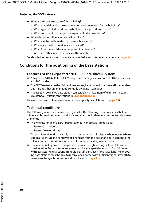#### **Projecting the DECT network**

- $\blacklozenge$  What is the basic structure of the building?
	- What materials and construction types have been used for the buildings?
	- What type of windows does the building have (e.g., tinted glass)?
	- What construction changes are expected in the near future?
- $\blacklozenge$  What disruptive influences can be identified?
	- What are the walls made of (concrete, brick, etc.)?
	- Where are the lifts, fire doors, etc. located?
	- What furniture and devices are present or planned?
	- Are there other wireless sources in the vicinity?

For detailed information on material characteristics and interference factors,  $\rightarrow$  [page 16](#page-17-0).

### <span id="page-11-1"></span><span id="page-11-0"></span>**Conditions for the positioning of the base stations**

### <span id="page-11-3"></span>**Features of the Gigaset N720 DECT IP Multicell System**

- ◆ A Gigaset N720 DM PRO DECT Manager can manage a maximum of 30 base stations and 100 handsets.
- $\blacklozenge$  The DECT network can be divided into clusters; i.e., you can install several independent DECT islands that are managed centrally by a DECT Manager.
- $\triangle$  A Gigaset N720 IP PRO base station can establish a maximum of eight connections simultaneously (four connections in **[Broadband mode](#page-48-2)**).

This must be taken into consideration in the capacity calculations ( $\rightarrow$  **[page 13](#page-14-0)**).

### **Technical conditions**

The following values can be used as a guide for the planning. They are values that are influenced by environmental conditions and that should therefore be checked via measurements.

- <span id="page-11-4"></span><span id="page-11-2"></span> $\blacklozenge$  The wireless range of a DECT base station for handsets is (quide values)
	- Up to 50 m indoors
	- Up to 300 m outdoors

These guide values do not apply to the maximum possible distance between two base stations. To ensure the handover of a handset from the cell of one base station to the cell of another, this distance is derived from the necessary overlap zone.

 $\triangle$  Ensure adequately sixed overlap zones between neighbouring cells are taken into consideration. For an interference-free handover, a spatial overlap of 5 to 10 metres with satisfactory signal strength should be sufficient, even for fast walking. Neighbouring base stations must be able to receive one [another with s](#page-22-1)ufficient signal strength to guarantee the synchronisation and handover (£**page 21**).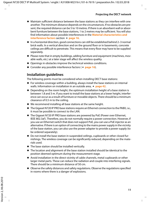- <span id="page-12-5"></span><span id="page-12-0"></span> $\blacklozenge$  Maintain sufficient distance between the base stations as they can interfere with one another. The minimum distance depends on the circumstances. If no obstacles are present, the required distance can be 5 to 10 metres. If there is an absorbent wall or absorbent furniture between the base stations, 1 to 2 metres may be sufficient. You will also find information about possi[ble interferen](#page-17-0)ces in the **[Material characteristics and](#page-17-0)  [interference factors](#page-17-0)** section → **page 16**.
- <span id="page-12-1"></span> $\triangleq$  In a horizontal direction, good connections can still be established behind 2–3 normal brick walls. In a vertical direction and on the ground floor or in basements, concrete ceilings are difficult to penetrate. This means that every floor may have to be supplied separately.
- $\blacklozenge$  Please note that in empty buildings, adding furniture and equipment (machines, movable walls, etc.) at a later stage will affect the wireless quality.
- $\blacklozenge$  Openings in obstacles improve the technical wireless conditions.
- ◆ Consider any possible interference factors (**+ [page 16](#page-17-0)**).

### <span id="page-12-3"></span>**Installation guidelines**

The following points must be considered when installing DECT base stations:

- $\blacklozenge$  For wireless coverage within a building, always insta[ll the base s](#page-43-0)tations on internal walls. Information on installation in an outside area,  $\rightarrow$  **page 42**.
- <span id="page-12-4"></span> $\triangle$  Depending on the room height, the optimum installation height of a base station is between 1.8 and 3 m. If you want to install the base stations at a lower height, interference can occur as a result of furniture or movable objects. There should be a minimum clearance of 0.5 m to the ceiling.
- $\blacklozenge$  We recommend installing all base stations at the same height.
- ◆ The Gigaset N720 IP PRO base stations require an Ethernet connection to the PABX, i.e., it must be possible to connect to the LAN.
- <span id="page-12-6"></span><span id="page-12-2"></span>◆ The Gigaset N720 IP PRO base stations are powered by PoE (Power over Ethernet, IEEE 802.3af ). Therefore, you do not normally require a power connection. However, if you use an Ethernet switch that does not support PoE, you can use a PoE injector as an alternative. If there is an option of connecting to the mains power supply in the vicinity of the base station, you can also use the power adapter to provide a power supply (to be ordered separately).
- $\blacklozenge$  Do not install the base station in suspended ceilings, cupboards or other closed furnishings. The wireless coverage can be significantly reduced, depending on the materials used.
- $\blacklozenge$  The base station should be installed vertically.
- $\blacklozenge$  The location and alignment of the base station installed should be identical to the position deemed optimum during the measurement stage.
- $\blacklozenge$  Avoid installation in the direct vicinity of cable channels, metal cupboards or other larger metal parts. These can reduce the radiation and couple into interfering signals. There should be a minimum distance of 50 cm.
- $\blacklozenge$  Observe the safety distances and safety regulations. Observe the regulations specified in rooms where there is a danger of explosions.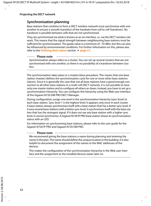### <span id="page-13-0"></span>**Synchronisation planning**

<span id="page-13-2"></span>Base stations that combine to form a DECT wireless network must synchronise with one another to ensure a smooth transition of the handsets from cell to cell (handover). No handover is possible between cells that are not synchronised.

They are synchronised via what is known as an air interface, i.e. via the DECT wireless network. This means that the signal strength between neighbouring base stations must be sufficient for synchronisation. The guide value is a minimum of –70 dBm, but this can also be influenced by environmental conditio[ns. For furthe](#page-22-1)r information on this, please also refer to the **[Defining limit values](#page-22-1)** section  $\rightarrow$  **page 21**.

#### **Please note**

Synchronisation always refers to a cluster. You can set up several clusters that are not synchronised with one another, so there is no possibility of a handover between clusters.

The synchronisation takes place in a master/slave procedure. This means that one base station (master) defines the synchronisation cycle for one or more other base stations (slaves). Since it is generally the case that not all base stations have a good enough connection to all other base stations in a multi-cell DECT network, it is not possible to have only one master station and to configure all others as slaves. Instead, you have to set up a synchronisation hierarchy. You can configure this hierarchy using the Web user interface of the Gigaset N720 DM PRO DECT Manager.

<span id="page-13-3"></span><span id="page-13-1"></span>During configuration, assign one level in the synchronisation hierarchy (sync level) to each base station. Sync level 1 is the highest level; it appears only once in each cluster. A base station always synchronises itself with a base station that has a better sync level. If it sees several base stations with a better sync level, it synchronises itself with the base station that has the strongest signal. If it does not see any base station with a higher sync level, it cannot synchronise. A Gigaset N720 IP PRO base station shows its synchronisation status with an LED.

For information on synchronising base stations, please refer to the user guide for the Gigaset N720 IP PRO and Gigaset N720 DM PRO.

#### **Please note**

We recommend giving the base stations a name during planning and entering the name in the plan. The name should define the unique location in the building. It is also helpful to document the assignment of the names to the MAC addresses of the devices.

This makes the configuration of the synchronisation hierarchy in the Web user interface and the assignment to the installed devices easier later on.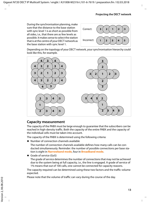During the synchronisation planning, make sure that the distance to the base station with sync level 1 is as short as possible from all sides, i.e., that there are as few levels as possible. It makes sense to select the station that is at the centre of your DECT network as the base station with sync level 1.



Depending on the topology of your DECT network, your synchronisation hierarchy could look like this, for example.



### <span id="page-14-0"></span>**Capacity measurement**

<span id="page-14-1"></span>The capacity of the PABX must be large enough to guarantee that the subscribers can be reached in high-density traffic. Both the capacity of the entire PABX and the capacity of the individual cells must be taken into account.

The capacity of the PABX is determined using the following criteria:

 $\blacklozenge$  Number of connection channels available

The number of connection channels available defines how many calls can be conducted simultaneously. Reminder: the number of possible connections per base station is eight in **[Narrowband mode](#page-50-1)**, four in **[Broadband mode](#page-48-2)**.

<span id="page-14-2"></span> $\triangleleft$  Grade of service (GoS)

The grade of service determines the number of connections that may not be achieved due to the system being at full capacity, i.e., the line is engaged. A grade of service of 1% means that out of 100 calls, one cannot be connected for capacity reasons.

The capacity required can be determined using these two factors and the traffic volume expected.

Please note that the volume of traffic can vary during the course of the day.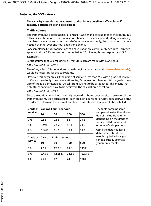#### **The capacity must always be adjusted to the highest possible traffic volume if capacity bottlenecks are to be excluded.**

### **Traffic volume**

<span id="page-15-1"></span><span id="page-15-0"></span>The traffic volume is expressed in "erlangs (E)". One erlang corresponds to the continuous full capacity utilisation of one connection channel in a specific period. Erlangs are usually calculated over an observation period of one hour. Accordingly, the occupation of a connection channel over one hour equals one erlang.

For example: if all eight connections of a base station are continuously occupied, this corresponds to eight E. If a connection is occupied for 20 minutes, this corresponds to 1/3 E.

#### **Examples:**

Let us assume that 500 calls lasting 3 minutes each are made within one hour.

#### **500 x 3 min/60 min = 25 E**

Therefore, at least 25 connection channels, i.e., four base stations (in **[Narrowband mode](#page-50-1)**), would be necessary for this call volume.

However, this only applies if the grade of service is less than 4%. With a grade of service of 4%, you need only three base stations, i.e., 24 connection channels. With a grade of service of 4%, it is permissible for 20 calls from 500 not to be established. This means that only 480 connections have to be achieved. The calculation is as follows:

#### **480 x 3 min/60 min = 24 E**

Since the traffic volume is not normally evenly distributed over the site to be covered, the traffic volume must be calculated for each area (offices, reception, hotspots, stairwell, etc.) in order to determine the relevant number of base stations that need to be installed.

| service | Grade of   Calls at 3 min. per hour |        |       |        |
|---------|-------------------------------------|--------|-------|--------|
|         | 10                                  | 50     | 100   | 500    |
| 0%      | 0.5E                                | 2.5E   | 5 E   | 25 E   |
| 2 %     | 0.49 E                              | 2.45 E | 4.9 E | 24.5 E |
| 4 %     | 0.48 E                              | 2.4E   | 4.8 E | 24 E   |

The table contains some sample values for the calculation of the traffic volume depending on the grade of service, call duration and number of calls per hour.

Using the data you have determined about the telephony behaviour, you can realistically estimate your requirements.

| service | Grade of   Calls at 15 min. per hour |         |        |         |
|---------|--------------------------------------|---------|--------|---------|
|         | 10                                   | 50      | 100    | 500     |
| 0%      | 2.5E                                 | 12.5E   | 25 E   | 125 E   |
| 2%      | 2.45 E                               | 12.25 E | 24.5 E | 122.5 E |
| 4 %     | 2.4E                                 | 12E     | 24 E   | 120 E   |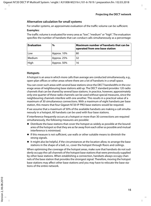### **Alternative calculation for small systems**

For smaller systems, an approximate evaluation of the traffic volume can be sufficient.

#### <span id="page-16-3"></span>**Examples:**

The traffic volume is evaluated for every area as "low", "medium" or "high". The evaluation specifies the number of handsets that can conduct calls simultaneously as a percentage:

| <b>Evaluation</b> | $\%$        | Maximum number of handsets that can be<br>operated from one base station |
|-------------------|-------------|--------------------------------------------------------------------------|
| Low               | Approx. 10% | 80                                                                       |
| Medium            | Approx. 25% | 32                                                                       |
| High              | Approx. 50% | 16                                                                       |

### <span id="page-16-0"></span>**Hotspots**

<span id="page-16-1"></span>A hotspot is an area in which more calls than average are conducted simultaneously, e.g., open-plan offices or other areas where there are a lot of handsets in a small space.

You can cover such areas with several base stations since the DECT bandwidths in the coverage areas of neighbouring base stations add up. The DECT standard provides 120 radio channels that can be shared by several base stations. In practice, however, approximately only one quarter of these radio channels can be used without special measures, since the neighbouring channels interfere with one another. This results in a practical value of a maximum of 30 simultaneous connections. With a maximum of eight handsets per base station, this means that four Gigaset N720 IP PRO base stations would be required.

If we assume that a maximum of 50% of the available handsets are making a call simultaneously in a hotspot, 60 handsets can be used with four base stations.

<span id="page-16-2"></span>If interference frequently occurs at a hotspot or more than 30 connections are required simultaneously, the following measures are possible:

- $\blacklozenge$  Distribute the base stations that cover the hotspot as widely as possible at the boundaries of the hotspot so that they are as far away from each other as possible and mutual interference is minimised.
- $\blacklozenge$  If this measure is not sufficient, use walls or other suitable means to diminish the strong signals.
- $\blacklozenge$  It might also be helpful, if the circumstances at the location allow, to arrange the base stations in the shape of a ball, i.e., cover the hotspot through floors and ceilings.

When optimising the coverage of the hotspot areas, make sure that handsets do not suddenly occupy the call channels of the hotspot base stations that were previously supplied by other base stations. When establishing a connection, handsets always occupy channels of the base station that provides the strongest signal. Therefore, moving the hotspot base stations may affect other base stations and you may have to relocate the base stations of the entire network.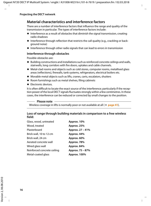### <span id="page-17-2"></span><span id="page-17-0"></span>**Material characteristics and interference factors**

<span id="page-17-5"></span>There are a number of interference factors that influence the range and quality of the transmission in particular. The types of interference factors include:

- $\blacklozenge$  Interference as a result of obstacles that diminish the signal transmission, creating radio shadows
- $\blacklozenge$  Interference through reflection that restricts the call quality (e.g., crackling or background noise)
- $\triangleq$  Interference through other radio signals that can lead to errors in transmission

### <span id="page-17-4"></span>**Interference through obstacles**

Possible obstacles are:

- $\blacklozenge$  Building constructions and installations such as reinforced concrete ceilings and walls. stairwells, long corridors with fire doors, uptakes and cable channels.
- $\blacklozenge$  Metal-clad rooms and objects such as cold stores, computer rooms, metallised glass areas (reflections), firewalls, tank systems, refrigerators, electrical boilers etc.
- $\blacklozenge$  Movable metal objects such as lifts, cranes, carts, escalators, shutters
- $\triangle$  Room furnishings such as metal shelves, filing cabinets
- $\triangle$  Electronic devices.

It is often difficult to locate the exact source of the interference; particularly if the reception power of the local DECT signals fluctuates strongly within a few centimetres. In these cases, the interference can be reduced or corrected by small changes to the position.

#### <span id="page-17-1"></span>**Please note**

Wireless coverage in lifts is normally poor or not available at all  $(+)$  **[page 41](#page-42-2)**).

#### <span id="page-17-3"></span>**Loss of range through building materials in comparison to a free wireless field:**

| Glass, wood, untreated      | Approx. 10%      |
|-----------------------------|------------------|
| Wood, treated               | Approx. 25%      |
| Plasterboard                | Approx. 27 - 41% |
| Brick wall, 10 to 12 cm     | Approx. 44%      |
| Brick wall, 24 cm           | Approx. 60%      |
| Aerated concrete wall       | Approx. 78%      |
| Wired glass wall            | Approx. 84%      |
| Reinforced concrete ceiling | Approx. 75 - 87% |
| Metal-coated glass          | Approx. 100%     |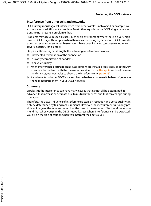#### <span id="page-18-0"></span>**Interference from other cells and networks**

DECT is very robust against interference from other wireless networks. For example, coexistence with WLAN is not a problem. Most other asynchronous DECT single base stations do not present a problem either.

Problems may occur in special cases, such as an environment where there is a very high level of DECT usage. This applies when there are co-existing asynchronous DECT base stations but, even more so, when base stations have been installed too close together to cover a hotspot, for example.

Despite sufficient signal strength, the following interference can occur:

- $\triangle$  Unexpected termination of the connection
- $\triangle$  Loss of synchronisation of handsets
- $\blacklozenge$  Poor voice quality
- $\triangleright$  When interference occurs because base stations are installed too closely together, try to resolve the problem with the measures described in the **[Hotspots](#page-16-0)** section (increase the distances, use obstacles to absorb the interference,  $\rightarrow$  **[page 15](#page-16-0)**)
- $\blacktriangleright$  If you have found other DECT sources, check whether you can switch them off, relocate them or integrate them in your DECT network.

#### **Summary**

Wireless traffic interference can have many causes that cannot all be determined in advance, that increase or decrease due to mutual influences and that can change during operation.

Therefore, the actual influence of interference factors on reception and voice quality can only be determined by taking measurements. However, the measurements also only provide an image of the wireless network at the time of measurement. We therefore recommend that when you plan the DECT network areas where interference can be expected, you err on the side of caution when you interpret the limit values.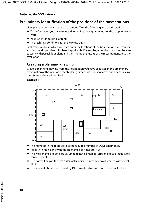### <span id="page-19-1"></span><span id="page-19-0"></span>**Preliminary identification of the positions of the base stations**

<span id="page-19-2"></span>Now plan the positions of the base stations. Take the following into consideration:

- $\blacklozenge$  The information you have collected regarding the requirements for the telephone network
- $\blacklozenge$  Your synchronisation planning
- $\blacklozenge$  The technical conditions for the wireless DECT.

First create a plan in which you then enter the locations of the base stations. You can use existing building and supply plans, if applicable. For very large buildings, you may be able to work with partial floor plans and then merge the results of the measurements into the evaluation.

### <span id="page-19-3"></span>**Creating a planning drawing**

Create a planning drawing from the information you have collected in the preliminary examination of the location. Enter building dimensions, hotspot areas and any sources of interference already identified.

#### **Examples:**



- $\blacklozenge$  The numbers in the rooms reflect the required number of DECT telephones.
- $\triangleq$  Areas with high-density traffic are marked as hotspots (HS).
- $\blacklozenge$  The walls marked in bold are assumed to have a high absorption effect, or reflections can be expected.
- $\blacklozenge$  The dotted lines on the two outer walls indicate tinted windows (coated with metal film).
- $\blacklozenge$  The stairwell should be covered by DECT wireless transmission. There is a lift here.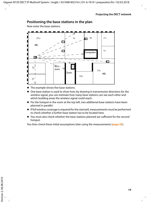### **Positioning the base stations in the plan**

Now enter the base stations.



- The example shows five base stations.
- $\blacklozenge$  One base station is used to show how, by drawing in transmission directions for the wireless signal, you can estimate how many base stations can see each other and which building areas the wireless signal could reach.
- $\blacklozenge$  For the hotspot in the room at the top left, two additional base stations have been planned in parallel.
- $\triangleq$  If full wireless coverage is required for the stairwell, measurements must be performed to check whether a further base station has to be located here.
- $\blacklozenge$  You must also check whether the base stations planned are sufficient for the second hotspot.

You then check these initial assumptions later using the measurements (**[page 20](#page-21-1)**).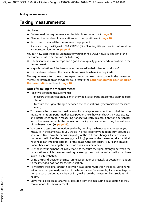### <span id="page-21-1"></span><span id="page-21-0"></span>**Taking measurements**

<span id="page-21-2"></span>You have:

- ◆ Determined the requirements for the telephone network (**+ [page 9](#page-10-2)**)
- $\triangle$  Planned the number of base stations and their positions ( $\rightarrow$  **[page 18](#page-19-1)**)
- $\triangle$  Set up and operated the measurement equipment.

If you are using the Gi[gaset N720 S](#page-30-2)PK PRO (Site Planning Kit), you can find information about setting it up on  $\rightarrow$  **page 29.** 

You can now start the measurements for your planned DECT network. The aim of the measurements is to determine the following:

- $\bullet$  Is sufficient wireless coverage and a good voice quality guaranteed everywhere in the desired area?
- $\triangleq$  Is synchronisation of the bases stations ensured in their planned positions?
- $\bullet$  Is a handover between the base stations possible where it is required?

The requirements from these three aspects must be taken into account in the measurements. For information on [this, please a](#page-11-1)lso refer to the **[Conditions for the positioning of](#page-11-1)  [the base stations](#page-11-1)** section → **page 10**.

#### **Notes for taking the measurements**

- $\blacklozenge$  Take two different measurements:
	- Measure the connection quality in the wireless coverage area for the planned base stations.
	- Measure the signal strength between the base stations (synchronisation measurement).
- $\blacklozenge$  To measure the connection quality, establish a telephone connection. It is helpful if the measurements are performed by two people, since they can check the voice quality and interference on both measuring handsets directly in a call. If only one person performs the measure[ments, the co](#page-39-0)nnection quality can be checked using the test tone of the base station ( $\rightarrow$  **page 38**).
- $\blacklozenge$  You can also test the connection quality by holding the handset to your ear as you measure, in the same way as you would in a real telephony situation. Turn around as you do so. Note how the acoustics quality of the test tone changes. If interference occurs at the limit of the range (e.g., crackling), power at the measuring site is critical. Your head can impair reception. For this reason, the test against your ear is an additional check for verifying the reception quality in limit areas.
- $\blacklozenge$  Use the measuring handset in idle status to measure the signal strength between the base stations, as it is the measured signal strength and not the voice quality that is relevant in this situation.
- $\blacklozenge$  Using the stand, position the measuring base station as precisely as possible in relation to the intended position for the base station.
- $\blacklozenge$  To measure the signal strength between base stations, position the measuring handset in the exact planned position of the base station. For example, if you want to position the base stations at a height of 3 m, make sure the measuring handset is at this height.
- $\blacklozenge$  Move metal objects as far away as possible from the measuring base station as they can influence the measurement.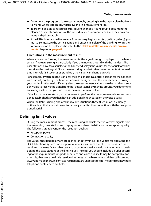- $\blacklozenge$  Document the progress of the measurement by entering it in the layout plan (horizontally and, where applicable, vertically) and in a measurement log.
- $\triangleq$  In order to be able to recognise subsequent changes, it is helpful to document the planned assembly positions of the individual measurement series and their environment with photographs.
- $\blacklozenge$  If the PABX is to be used for several floors or very high rooms (e.g., with a gallery), you must also measure the vertical range and enter it in a plan of the building. For further information on [this, please](#page-42-1) also refer to the **[DECT installations in special environ](#page-42-1)[ments](#page-42-1)** chapter  $\rightarrow$  **page 41**.

#### **Fluctuations in the measurement result**

When you are performing the measurements, the signal strength displayed on the handset can fluctuate strongly, particularly if you are moving around with the handset. The base stations have two aerials, so the handset displays the values for the aerial for which it receives the best signal. Since the measuring handset takes measurements at defined time intervals (2.5 seconds as standard), the values can change quickly.

For example, if you block the signal for the aerial that is in a better position for the handset with part of your body, the handset receives the signal from the weaker aerial. Turning your body slightly can significantly alter the measurement value, since the handset is suddenly able to receive the signal from the "better" aerial. By moving around, you determine an average value that you can use as the measurement value.

If the fluctuations are strong, it makes sense to perform the measurement while a connection is established as you then have an additional check based on the voice quality.

When the PABX is being operated in real-life situations, these fluctuations are barely noticeable as the base stations automatically establish the connection with the best positioned aerial.

### <span id="page-22-1"></span><span id="page-22-0"></span>**Defining limit values**

During the measurement process, the measuring handsets receive wireless signals from the measuring base station and display various characteristics for the reception quality. The following are relevant for the reception quality:

- $\triangleleft$  Reception power
- $\triangleleft$  Connection quality

The values specified below are guidelines for determining limit values for operating the DECT telephone system under optimum conditions. Since the DECT network can be restricted by many factors that can also occur temporarily, we do not recommend positioning the base stations at the limit values. Instead, you should include a buffer according to the requirements for grade of service and voice quality. It may be acceptable for example, that voice quality is restricted at times in the basement, and that calls cannot always be made there. In contrast, restrictions are unacceptable for meeting rooms where telephone conferences are held.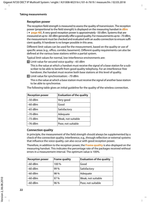#### **Reception power**

<span id="page-23-1"></span>The reception field strength is measured to assess the quality of transmission. The reception [power \(propo](#page-49-0)rtional to the field strength) is displayed on the measuring handset in **[dBm](#page-49-0)** (£**page 48**). A very good reception power is approximately –50 dBm. Systems that are measured at up to –60 dBm generally offer a good quality. For measurements up to –70 dBm, the measurement must be checked and evaluated with an audio connection to ensure sufficient quality. A handover is no longer possible in this area.

Different limit values can be used for the measurement, based on the quality or use of specific areas (e.g., office, corridor, basement). Different quality requirements can also be defined at the various base stations within a partial system.

<span id="page-23-2"></span>Typical limit values for normal, low-interference environments are:

**E** Limit value for secured voice quality: –65 dBm

This is the value at which a handset must receive the signal of a base station for a subscriber to be able to benefit from good quality telephony. For an interference-free handover, the handset must receive both base stations at this level of quality.

**<b>§** Limit value for synchronisation: –70 dBm

This is the value at which a base station must receive the signal of another base station to be able to synchronise.

<span id="page-23-3"></span>

| <b>Reception power</b> | <b>Evaluation of the quality</b> |
|------------------------|----------------------------------|
| $-50$ dBm              | Very good                        |
| $-60$ dBm              | Good                             |
| $-65$ dBm              | Satisfactory                     |
| $-70$ dBm              | Adequate                         |
| $-73$ dBm              | Weak, not suitable               |
| $-76$ dBm              | Poor, not suitable               |

The following table gives an initial guideline for the quality of the wireless connection.

#### <span id="page-23-0"></span>**Connection quality**

In principle, the measurement of the field strength should always be supplemented by a check of the connection quality. Interference, e.g., through reflection or external systems that influence the voice quality, can also occur with good reception power.

Therefore, in addition to the reception power, the **[Frame quality](#page-50-2)** is also displayed on the measuring handset. This indicates the percentage rate of the packages received without errors in a measurement interval. The optimum value is 100%.

| <b>Reception power</b> | <b>Frame quality</b> | <b>Evaluation of the quality</b> |
|------------------------|----------------------|----------------------------------|
| $-60$ dBm              | 100 %                | Good                             |
| $-60$ dBm              | 99 %                 | Satisfactory                     |
| $-60$ dBm              | 98 %                 | Adequate                         |
| $-60$ dBm              | 97 %                 | Weak, not suitable               |
| $-60$ dBm              | 96 %                 | Poor, not suitable               |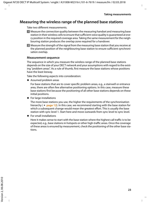### <span id="page-24-0"></span>**Measuring the wireless range of the planned base stations**

Take two different measurements.

- **<b>I** Measure the connection quality between the measuring handset and measuring base station in their wireless cells to ensure that sufficient voice quality is guaranteed at every position in the required coverage area. Taking the same measurement for the neighbouring station produces the overlap zone required for a handover.
- **<sup>2</sup>** Measure the strength of the signal from the measuring base station that you receive at the planned position of the neighbouring base station to ensure sufficient synchronisation overlap.

#### **Measurement sequence**

The sequence in which you measure the wireless range of the planned base stations depends on the size of your DECT network and your assumptions with regard to the existing "problem areas". As a rule of thumb, first measure the base stations whose positions have the least leeway.

Take the following aspects into consideration:

 $\triangleleft$  Assumed problem areas

For base stations that are to cover specific problem areas, e.g., a stairwell or entrance area, there are often few alternative positioning options. In this case, measure these base stations first because the positioning of all other base stations depends on these initial positions.

 $\blacklozenge$  For large installations

The more [base stations](#page-13-0) you use, the higher the requirements of the synchronisation hierarchy  $(+)$  **page 12**). In this case, we recommend starting with the base station for which a subsequent change would mean the greatest effort. This is usually the base station with sync level 1. Start here and move outwards from sync level to sync level.

 $\triangle$  For small installations

Here it makes sense to start with the base station where the highest call traffic is to be expected, e.g., base stations in hotspots or other high-traffic areas. Once the coverage of these areas is ensured by measurement, check the positioning of the other base stations.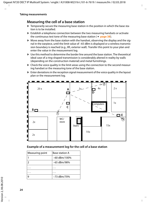### <span id="page-25-1"></span>**Measuring the cell of a base station**

- $\blacktriangleright$  Temporarily secure the measuring base station in the position in which the base station is to be installed.
- $\blacktriangleright$  Establish a telephone connection between the two me[asuring hands](#page-39-0)ets or activate the continuous test tone of the measuring base station  $(4)$  page 38).
- $\triangleright$  Move away from the base station with the handset, observing the display and the signal in the earpiece, until the limit value of –65 dBm is displayed or a wireless transmission boundary is reached (e.g., lift, exterior wall). Transfer this point to your plan and enter the value in the measurement log.
- $\blacktriangleright$  Use this method to determine the border line around the base station. The theoretical ideal case of a ring-shaped transmission is considerably altered in reality by walls (depending on the construction material) and metal furnishings.
- $\blacktriangleright$  Check the voice quality in the limit areas using the connection to the second measuring handset or the measuring tone of the base station.
- $\triangleright$  Enter deviations in the reception signal measurement of the voice quality in the layout plan or the measurement log.



### <span id="page-25-0"></span>**Example of a measurement log for the cell of a base station**

| Measuring point | <b>Base station A</b> |
|-----------------|-----------------------|
|                 | $-60$ dBm/100%        |
|                 | -65 dBm/98%           |
|                 |                       |
|                 |                       |
|                 | $-73$ dBm/70%         |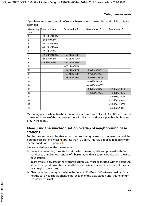| If you have measured the cells of several base stations, the results may look like this, for |  |
|----------------------------------------------------------------------------------------------|--|
| example:                                                                                     |  |

| Measuring<br>point | Base station A | Base station B | Base station C | Base station D |
|--------------------|----------------|----------------|----------------|----------------|
|                    |                |                |                |                |
| 1                  | $-60$ dBm/100% |                |                |                |
| $\overline{2}$     | -50 dBm/98%    |                |                |                |
| 3                  | -65 dBm/100%   |                |                |                |
| 4                  | $-48$ dBm/100% |                |                |                |
| 5                  | -55 dBm/98%    |                |                |                |
| 6                  | $-65$ dBm/100% | $-50$ dBm/100% |                |                |
| $\overline{7}$     | -68 dBm/96%    | $-59$ dBm/100% |                |                |
| 8                  | $-55$ dBm/98%  | $-46$ dBm/98%  |                |                |
| 9                  |                | $-60$ dBm/96%  |                |                |
| 10                 |                | $-52$ dBm/98%  | $-65$ dBm/100% |                |
| 11                 |                | $-63$ dBm/100% | $-57$ dBm/100% |                |
| 12                 |                | -48 dBm/98%    | $-42$ dBm/100% |                |
| 13                 |                |                | -46 dBm/98%    |                |
| 14                 |                |                | $-40$ dBm/100% |                |
| 15                 |                |                | $-60$ dBm/98%  | $-52$ dBm/100% |
| 16                 |                |                | -43 dBm/100%   | $-42$ dBm/100% |
| 17                 |                |                |                | -56 dBm/100%   |
| 18                 |                |                |                | $-50$ dBm/98%  |
| 19                 |                |                |                | -53 dBm/100%   |
| 20                 |                |                |                | -60 dBm/98%    |

Measuring points where two base stations are received with at least –65 dBm are located in an overlap zone of the two base stations in which a handover is possible (highlighted grey in the table).

### **Measuring the synchronisation overlap of neighbouring base stations**

For the base stations to be able to synchronise, the signal strength between two neighbouring base stati[ons must not](#page-22-0) be less than –70 dBm. This value applies in good environmental conditions, → page 21.

Proceed as follows for the measurements:

 $\blacktriangleright$  Leave the measuring base station at the last measuring site and proceed with the handset to the planned position of a base station that is to synchronise with the first base station.

In order to reliably assess the synchronisation, you must be located, with the handset, at the exact position of the planned base station (use a ladder to measure at the correct height, if necessary).

 $\triangleright$  Check whether the signal is within the limit of -70 dBm at 100% frame quality. If this is not the case, you should change the location of the base station until this minimum requirement is met.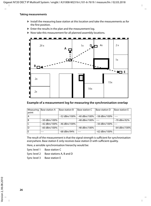#### **Taking measurements**

- $\blacktriangleright$  Install the measuring base station at this location and take the measurements as for the first position.
- $\triangleright$  Enter the results in the plan and the measurement log.
- ▶ Now take this measurement for all planned assembly locations.



#### <span id="page-27-0"></span>**Example of a measurement log for measuring the synchronisation overlap**

| Measuring | Base station A | Base station B | Base station C | Base station D                | Base station E |
|-----------|----------------|----------------|----------------|-------------------------------|----------------|
|           |                |                |                |                               |                |
| point     |                |                |                |                               |                |
|           |                |                |                |                               |                |
| А         |                | $-52$ dBm/100% |                | $-40$ dBm/100% $-58$ dBm/100% | $---$          |
|           |                |                |                |                               |                |
| B         | $-50$ dBm/100% |                | $-48$ dBm/100% |                               | -70 dBm/92%    |
|           |                |                |                |                               |                |
|           |                |                |                |                               |                |
|           | $-42$ dBm/100% | -46 dBm/100%   |                | $-50$ dBm/100%                |                |
|           |                |                |                |                               |                |
| D         | $-60$ dBm/100% |                | -48 dBm/100%   |                               | $-64$ dBm/100% |
|           |                |                |                |                               |                |
| E         | ----           | -68 dBm/94%    |                | $-62$ dBm/100%                |                |
|           |                |                |                |                               |                |
|           |                |                |                |                               |                |

The result of the measurement is that the signal strength is sufficient for synchronisation everywhere. Base station E only receives base station D with sufficient quality.

Here, a sensible synchronisation hierarchy would be:

Sync level 1 Base station C

Sync level 2 Base stations A, B and D

Sync level 3 Base station E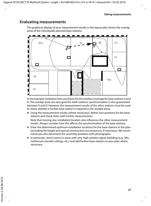### <span id="page-28-0"></span>**Evaluating measurements**

<span id="page-28-1"></span>The graphical display of your measurement results in the layout plan shows the overlap areas of the individually planned base stations.



In the example, limitation lines are drawn for the wireless coverage for base stations A and D. The overlap areas are very good for both stations; synchronisation is also guaranteed between A and D. However, the measurement results of the other stations must be used to check whether a further base station is required in the shaded areas.

 $\triangleright$  Using the measurement results (where necessary), define new positions for the base stations and check them with further measurements.

Note that moving one installation location also influences the other measurement results. Always consider how this affects the synchronisation of the base stations.

- $\blacktriangleright$  Enter the determined optimum installation locations for the base stations in the plan (including the height and special construction circumstances, if necessary). We recommend you also document the assembly positions with photographs.
- $\blacktriangleright$  In particular, check rooms or areas with very high wireless signal shielding (e.g., lifts, reinforced concrete ceilings, etc.) and add further base stations to your plan where necessary.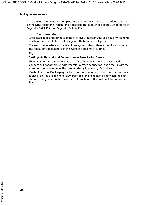Once the measurements are complete and the positions of the base stations have been defined, the telephone system can be installed. This is described in the user guide for the Gigaset N720 IP PRO and Gigaset N720 DM PRO.

#### **Recommendation**

After installation and commissioning of the DECT network, the voice quality, roaming and handover should be checked again with the system telephones.

<span id="page-29-2"></span>The web user interface for the telephone system offers different tools for monitoring the operation and diagnosis in the event of problems occurring.

<span id="page-29-0"></span>Page

#### **Settings → Network and Connections → Base Station Events**

<span id="page-29-3"></span>shows counters for various events that affect the base stations, e.g. active radio connections, handovers, unexpectedly terminated connections and a matrix with the maximum and minimum of the most markedly fluctuating RSSI values.

<span id="page-29-1"></span>On the **Status**¢**Device** page, information concerning the connected base stations is displayed. You are able to display graphics of the relationships between the base stations, the synchronisation level and information on the quality of the connections here.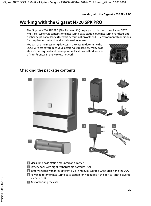## <span id="page-30-2"></span><span id="page-30-0"></span>**Working with the Gigaset N720 SPK PRO**

<span id="page-30-5"></span>The Gigaset N720 SPK PRO (Site Planning Kit) helps you to plan and install your DECT multi-cell system. It contains one measuring base station, two measuring handsets and further helpful accessories for exact determination of the DECT environmental conditions for the planned network and is delivered in a case.

You can use the measuring devices in the case to determine the DECT wireless coverage at your location, establish how many base stations are required and their optimum location and find sources of interferences in the wireless network.

<span id="page-30-9"></span>

### <span id="page-30-4"></span><span id="page-30-1"></span>**Checking the package contents**

<span id="page-30-7"></span>

- <span id="page-30-6"></span><span id="page-30-3"></span>**§1** Measuring base station mounted on a carrier
- **<sup>2</sup>** Battery pack with eight rechargeable batteries (AA)
- **<b>8** Battery charger with three different plug-in modules (Europe, Great Britain and the USA)
- **<b>Ø** Power adapter for measuring base station (only required if the device is not powered via batteries)
- <span id="page-30-8"></span>**§** Key for locking the case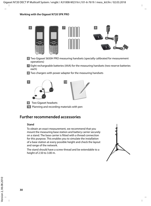#### **Working with the Gigaset N720 SPK PRO**



- <span id="page-31-2"></span>**6** Two Gigaset S650H PRO measuring handsets (specially calibrated for measurement operations)
- **<b>••** Eight rechargeable batteries (AAA) for the measuring handsets (two reserve batteries each)
- **8** Two chargers with power adapter for the measuring handsets



- <span id="page-31-1"></span>**•9** Two Gigaset headsets
- **§10** Planning and recording materials with pen

### <span id="page-31-0"></span>**Further recommended accessories**

#### <span id="page-31-3"></span>**Stand**

To obtain an exact measurement, we recommend that you mount the measuring base station and battery carrier securely on a stand. The base carrier is fitted with a thread connection for this purpose. This enables you to simulate the installation of a base station at every possible height and check the layout and range of the network.

The stand should have a screw thread and be extendable to a height of 2.50 to 3.00 m.

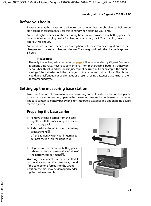### <span id="page-32-0"></span>**Before you begin**

Please note that the measuring devices run on batteries that must be charged before you start taking measurements. Bear this in mind when planning your time.

You need eight batteries for the measuring base station, provided as a battery pack. The case contains a charging device for charging the battery pack. The charging time is approx. three hours.

You need two batteries for each measuring handset. These can be charged both in the chargers and in standard charging devices. The charging time in the charger is approx. 5 hours.

#### **Please note**

Use only the rechargeable batteries ( $\rightarrow$  [page 45](#page-46-2)) recommended by Gigaset Communications GmbH, i.e., never use conventional (non-rechargeable) batteries, otherwise serious health risks and personal injury cannot be ruled out. For example, the outer casing of the batteries could be damaged or the batteries could explode. The phone could also malfunction or be damaged as a result of using batteries that are not of the recommended type.

### <span id="page-32-1"></span>**Setting up the measuring base station**

<span id="page-32-4"></span>To ensure freedom of movement when measuring and not be dependent on being able to reach a power connection, operate the measuring base station with external batteries. The case contains a battery pack with eight integrated batteries and one charging device for this purpose.

### **Preparing the base carrier**

- <span id="page-32-2"></span> $\blacktriangleright$  Remove the base carrier from the case together with the measuring base station and battery pack.
- $\triangleright$  Slide the lid to the left to open the battery compartment **§§1§§**.

Lift the lid gently with your fingernail to get past the lock on the right edge.

<span id="page-32-3"></span> $\blacktriangleright$  Plug the connector on the battery pack cable onto the two pins on the left side of the battery compartment **§§2§§**.

**Warning:** the connector is shaped so that it can only be attached the correct way round. If the connector is forced into the wrong position, the pins may be damaged rendering the device unusable.

<span id="page-32-5"></span>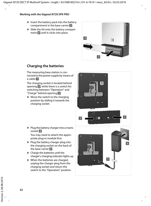#### **Working with the Gigaset N720 SPK PRO**

- **compartment in the base carrier 8**.
- <ul>\n<li>Insert the battery pack into the battery compartment in the base carrier <b>8</b>.</li>\n<li>Side the lid onto the battery compartment <b>4</b> until it clicks into place.</li>\n</ul>\n<p><b>Charging the batteries</b></p> ▶ Slide the lid onto the battery compartment **§§4§§** until it clicks into place.



<span id="page-33-3"></span><span id="page-33-1"></span>The measuring base station is connected to the power supply by means of a cable **§§1§§**.

<span id="page-33-2"></span>The charging socket is located behind opening **§§2§§**, while there is a switch for switching between "Operation" and "Charge" behind opening **§§3§§** .

- $\blacktriangleright$  Move the switch to the charging position by sliding it towards the charging socket.
- $2<sup>1</sup>$ **1** 3
- <span id="page-33-0"></span> $\blacktriangleright$  Plug the battery charger into a mains socket **§§4§§**.

You may need to attach the appropriate plug-in module first.

- $\blacktriangleright$  Plug the battery charger plug into the charging socket on the back of the base carrier **§§5§§** .
- $\blacktriangleright$  Charge the batteries until the charger's charging indicator lights up.
- $\blacktriangleright$  When the batteries are charged, unplug the charger plug from the charging socket and return the switch to the "Operation" position.

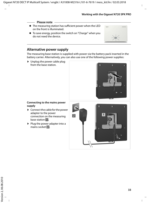#### <span id="page-34-1"></span>**Please note**

- $\triangle$  The measuring station has sufficient power when the LED on the front is illuminated.
- $\blacklozenge$  To save energy, position the switch on "Charge" when you do not need the device.



The measuring base station is supplied with power via the battery pack inserted in the battery carrier. Alternatively, you can also use one of the following power supplies:

<span id="page-34-0"></span> $\triangleright$  Unplug the power cable plug from the base station.



#### **Connecting to the mains power supply**

- <span id="page-34-2"></span> $\triangleright$  Connect the cable for the power adapter to the power connection on the measuring **base station 1.**
- <span id="page-34-3"></span> $\blacktriangleright$  Plug the power adapter into a mains socket **§§2§§**.

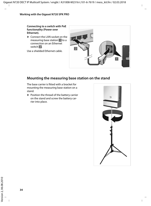**Connecting to a switch with PoE functionality (Power over Ethernet).** 

<span id="page-35-2"></span>▶ Connect the LAN socket on the measuring base station **§§1§§** to a connection on an Ethernet switch **§§2§§**.

Use a shielded Ethernet cable.

<span id="page-35-3"></span>

### <span id="page-35-4"></span>**Mounting the measuring base station on the stand**

<span id="page-35-1"></span><span id="page-35-0"></span>The base carrier is fitted with a bracket for mounting the measuring base station on a stand.

 $\blacktriangleright$  Position the thread of the battery carrier on the stand and screw the battery carrier into place.

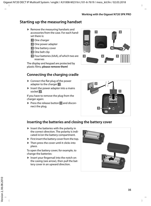### <span id="page-36-5"></span><span id="page-36-0"></span>**Starting up the measuring handset**

- <span id="page-36-3"></span> $\blacktriangleright$  Remove the measuring handsets and accessories from the case. For each handset there is:
	- **§§1§§** One charger
	- **§§2§§** One power adapter
	- **§§3§§** One battery cover
	- **§§4§§** One belt clip
	- **§§5§§** Four batteries (AAA), of which two are reserves

The display and keypad are protected by plastic films; **please remove them!** 

### **Connecting the charging cradle**

- <span id="page-36-4"></span> $\blacktriangleright$  Connect the flat plug of the power adapter to the charger **§§1§§**.
- $\blacktriangleright$  Insert the power adapter into a mains socket **§§2§§**.

If you have to remove the plug from the charger again:

▶ Press the release button **₿** and disconnect the plug.





### **Inserting the batteries and closing the battery cover**

- <span id="page-36-1"></span> $\triangleright$  Insert the batteries with the polarity in the correct direction. The polarity is indicated in/on the battery compartment.
- $\blacktriangleright$  First insert the battery cover from the top.
- $\triangleright$  Then press the cover until it clicks into place.

<span id="page-36-2"></span>To open the battery cover; for example, to change the batteries:

 $\blacktriangleright$  Insert your fingernail into the notch on the casing (see arrow), then pull the battery cover in an upward direction.

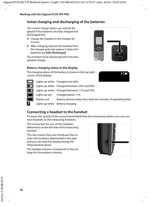### **Initial charging and discharging of the batteries**

<span id="page-37-2"></span>The correct charge status can only be displayed if the batteries are fully charged and discharged first.

- $\triangleright$  Charge the handset in the charger for 5 hours.
- $\blacktriangleright$  After charging, remove the handset from the charger and only replace it when the batteries are **fully discharged**.

The handset must only be placed in the designated charger.

### **Battery charging status in the display**



パロ

<span id="page-37-0"></span>The charging status of the battery is shown in the top right corner of the display:

| $\Box$         |             | Lights up white Charged over 66%                               |
|----------------|-------------|----------------------------------------------------------------|
| $\Box$         |             | Lights up white Charged between 34% and 66%                    |
| $\Box$         |             | Lights up white Charged between 11% and 33%                    |
| $\Box$         |             | Lights up red Charged below 11%                                |
| $\blacksquare$ | Flashes red | Battery almost empty (less than ten minutes of operating time) |
| Я              |             | Lights up white Battery charging                               |

### **Connecting a headset to the handset**

To assess the quality of the sound transmitted from the measuring station, you can connect headsets to the measuring handsets.

The connection for one of the headsets delivered is on the left side of the measuring handset.

This also means that your hands are free to enter the locations determined in the plan and you can read the display during the measurement phase.

The headset volume corresponds to the settings for the earpiece volume.

<span id="page-37-1"></span>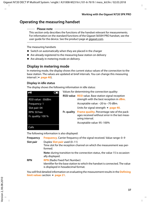### <span id="page-38-0"></span>**Operating the measuring handset**

#### **Please note**

This section only describes the functions of the handset relevant for measurements. For information on the standard functions of the Gigaset S650H PRO handset, see the user quide for the device. See the product page at [gigaset.com](http://gigaset.com).

<span id="page-38-6"></span>The measuring handsets

- $\blacklozenge$  Switch on automatically when they are placed in the charger
- $\triangle$  Are already registered to the measuring base station on delivery
- $\triangle$  Are already in metering mode on delivery.

### <span id="page-38-3"></span>**Display in metering mode**

<span id="page-38-7"></span><span id="page-38-5"></span>In metering mode, the display shows the current status values of the connection to the base st[ation. The valu](#page-41-1)es are updated at brief intervals. You can change this measuring interval (**+ page 40**).

#### <span id="page-38-2"></span>**Display in idle status**

The display shows the following information in idle status:

<span id="page-38-8"></span><span id="page-38-4"></span>

| $\bullet$            | Values for determining the connection quality: |                                                                                                          |
|----------------------|------------------------------------------------|----------------------------------------------------------------------------------------------------------|
| RSSI value: -30dBm   |                                                | RSSI value RSSI value. Base station signal reception<br>strength with the best reception in <b>dBm</b> . |
| Frequency: 1         |                                                | Acceptable value: -20 to -70 dBm.                                                                        |
| Slot pair: 04        |                                                | Units for signal strength $\rightarrow$ page 40.                                                         |
| RPN: 50 hex          | Fr. quality                                    | Frame quality. Percentage rate of the pack-                                                              |
| Fr. quality: $100\%$ |                                                | ages received without error in the last meas-<br>uring interval.                                         |
|                      |                                                | Acceptable value: 95-100%                                                                                |
| Calls                |                                                |                                                                                                          |

The following information is also displayed:

<span id="page-38-10"></span><span id="page-38-9"></span><span id="page-38-1"></span>

| <b>Frequency</b> | <b>Frequency.</b> Carrier frequency of the signal received. Value range: 0-9                                                                                |
|------------------|-------------------------------------------------------------------------------------------------------------------------------------------------------------|
| Slot pair        | Duplex <b>Slot pair</b> used (0-11)<br>Time slot for the reception channel on which the measurement was per-<br>formed.                                     |
|                  | Note: during transition to the connection status, the value 15 is occasion-<br>ally displayed.                                                              |
| <b>RPN</b>       | <b>RPN</b> (Radio Fixed Part Number)<br>Identifier for the base station to which the handset is connected. The value<br>is displayed in hexadecimal format. |

You will find detailed [information](#page-22-1) on evaluating the measurement results in the **[Defining](#page-22-1)  [limit values](#page-22-1)** section → **page 21**.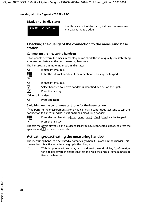### <span id="page-39-1"></span>**Display not in idle status**

If the display is not in idle status, it shows the measureat the display is not in the students-30dBm-1-04-50H-100<br>the top edge. The top edge.

### **Checking the quality of the connection to the measuring base station**

### **Connecting the measuring handsets**

If two people perform the measurements, you can check the voice quality by establishing a connection between the two measuring handsets.

<span id="page-39-3"></span>The handsets are in metering mode in idle status.



**1** Initiate internal call.<br> **Figure 1** Enter the internal nu Enter the internal number of the other handset using the keypad.

 $\Box$  Initiate internal call.

 $\Box$  Select handset. Your own handset is identified by a "<" on the right.

 $\sqrt{c}$  Press the talk key.

### **Calling all handsets**

**u** Press and **hold**.

### <span id="page-39-0"></span>**Switching on the continuous test tone for the base station**

If you perform the measurements alone, you can play a continuous test tone to test the connection to a measuring base station from a measuring handset.



FILE Enter the number string  $*_{\bigcirc}$   $*_{\bigcirc}$   $*_{\bigcirc}$   $*_{\bigcirc}$   $2_{\text{ABC}}$   $2_{\text{ABC}}$  via the keypad.

<span id="page-39-4"></span>Press the talk key.

The test melody is played via the loudspeaker. If you have connected a headset, press the speaker key  $\overline{\mathbf{A}}$  to hear the melody.

### **Activating/deactivating the measuring handset**

<span id="page-39-2"></span>The measuring handset is activated automatically when it is placed in the charger. This means that it is activated after charging in the charger.

**a** With the phone in idle status, press and **hold** the end call key (confirmation tone) to deactivate the handset. Press and **hold** the end call key again to reactivate the handset.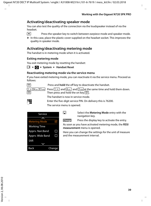### <span id="page-40-4"></span>**Activating/deactivating speaker mode**

You can also test the quality of the connection via the loudspeaker instead of via the headset.

 $\boxed{4}$  Press the speaker key to switch between earpiece mode and speaker mode.

 $\triangleright$  In this case, place the plastic cover supplied on the headset socket. This improves the quality in speaker mode.

### **Activating/deactivating metering mode**

The handset is in metering mode when it is activated.

### <span id="page-40-0"></span>**Exiting metering mode**

You exit metering mode by resetting the handset:

v£ £**System** £ **Handset Reset** 

### **Reactivating metering mode via the service menu**

If you have exited metering mode, you can reactivate it via the service menu. Proceed as follows:



<span id="page-40-2"></span><span id="page-40-1"></span>

|  | These and <b>noise</b> the on-ney to academate the nanaset. |                                                                                                                                                     |
|--|-------------------------------------------------------------|-----------------------------------------------------------------------------------------------------------------------------------------------------|
|  |                                                             | Press $\boxed{1 \text{ }^{\omega}}$ and $\boxed{4 \text{ }^{\text{cm}}}$ and $\boxed{7 \text{ }^{\text{max}}}$ at the same time and hold them down. |
|  |                                                             |                                                                                                                                                     |

Then press and hold the on key  $\lceil \cdot \rceil$ .

The handset is now in service mode.

Enter the five-digit service PIN. On delivery this is 76200.

The service menu is opened.



<span id="page-40-3"></span> $\Box$  Select the **Metering Mode** entry with the navigation key.

**Change** Press the display key to activate the entry.

As soon as you have activated metering mode, the **RSSI measurement** menu is opened.

Here you can change the settings for the unit of measure and the measurement interval.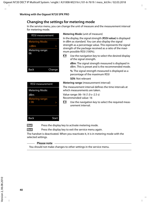### <span id="page-41-0"></span>**Changing the settings for metering mode**

In the service menu, you can change the unit of measure and the measurement interval for metering mode.

| <b>RSSL</b> measurement |        |
|-------------------------|--------|
| <b>Metering Mode:</b>   |        |
| $<$ d $Bm$              |        |
| Metering range:<br>06   |        |
| Back                    | Change |

| <b>RSSI measurement</b>       |       |
|-------------------------------|-------|
| Metering Mode:                |       |
| dBm                           |       |
| <b>Metering range:</b><br><06 |       |
|                               |       |
| <b>Back</b>                   | Start |

#### <span id="page-41-5"></span><span id="page-41-4"></span>**Metering Mode** (unit of measure)

In the display, the signal strength (**RSSI value)** is displayed in dBm as standard. You can also display the signal strength as a percentage value. This represents the signal strength of the package received as a ratio of the maximum possible RSSI (100%).

 $\overline{\mathbb{C}}$  Use the navigation key to select the desired display of the signal strength.

> **dBm**: The signal strength measured is displayed in dBm. This is preset and is the recommended mode.

<span id="page-41-3"></span>**%**: The signal strength measured is displayed as a percentage of the maximum RSSI

**SEN**: Not relevant

<span id="page-41-2"></span><span id="page-41-1"></span>**Metering range** (measurement interval)

The measurement interval defines the time intervals at which measurements are taken.

Value range: 06–16 (1.0 s–2.5 s) Recommended value: 16

 $\overline{\mathbb{CP}}$  Use the navigation key to select the required measurement interval.

**Start** Press the display key to activate metering mode.

**Back** Press the display key to exit the service menu again.

The handset is deactivated. When you reactivate it, it is in metering mode with the selected settings.

#### **Please note**

You should not make changes to other settings in the service menu.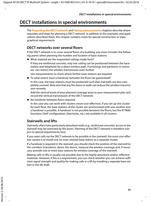### <span id="page-42-1"></span><span id="page-42-0"></span>**DECT installations in special environments**

The **[Projecting the DECT network](#page-10-3)** and **[Taking measurements](#page-21-1)** chapters describe all prerequisites and steps for planning a DECT network. In addition to the examples and applications described there, this chapter contains notes for special construction or topographical requirements.

### **DECT networks over several floors**

If the DECT network is to cover several floors of a building, you must consider the following points when planning the number and location of base stations:

 $\blacklozenge$  What material are the suspended ceilings made from?

If they are reinforced concrete, only one ceiling can be positioned between the base station and telephone for a direct wireless path. Furnishings and partitions in rooms etc. can restrict the wireless transmission even further.

Use measurements to check where further base stations are required.

 $\blacklozenge$  To what extent must a handover between the floors be quaranteed?

In this case, the base stations must be positioned such that stairwells are also completely covered. Note also that any fire doors or walls can reduce the wireless transmission severely.

Add the vertical levels of your planned coverage areas to your measurement plan and record the vertical transmission of the DECT network.

 $\blacklozenge$  No handover between floors required

In this case you can work with clusters (more cost-effective). If you set up one cluster for each floor, the base stations of the cluster are synchronised with one another and a handover is possible. A handover is not possible between the floors, but the IP PABX functions (VoIP configuration, directories, etc.) are available in all clusters.

### <span id="page-42-2"></span>**Stairwells and lifts**

Stairwells often have particularly absorbent walls (e.g., reinforced concrete); access to the stairwell may be restricted by fire doors. Planning of the DECT network is therefore subject to special requirements here.

If you want calls via the DECT network to be possible in the stairwell, the most cost-effective variant is to install one (or even several) base station as a separate cluster.

If a handover is required in the stairwell, you should check the position of the stairwell to the corridors (transitions, doors, fire doors), measure the wireless coverage and, if necessary, provide one or more base stations for wireless coverage of the stairwell.

Making calls in lifts is usually not possible due to the highly absorbent and/or reflective materials. However, if this is a requirement, you can check whether you can achieve sufficient signal strength and quality for making calls in a lift by installing a separate base station in the lift shaft.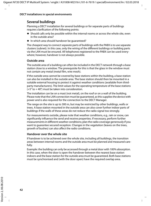### **Several buildings**

Planning a DECT installation for several buildings or for separate parts of buildings requires clarification of the following points:

- $\triangle$  Should calls only be possible within the internal rooms or across the whole site, even in the outside area?
- $\blacklozenge$  In which area should handover be quaranteed?

The cheapest way to connect separate parts of buildings with the PABX is to use separate clusters (subnet). In this case, only the wiring of the different buildings or building parts via the LAN must be ensured. All telephones registered to the PABX can be used everywhere; however, handover is not always possible.

#### <span id="page-43-0"></span>**Outside area**

The outside area of a building can often be included in the DECT network through a base station close to a window. The prerequisite for this is that the glass in the window must not contain any metal (metal film, wire mesh).

If the outside area cannot be covered by base stations within the building, a base station can also be installed in the outside area. The base station should then be mounted in a suitable external housing to protect it against weather conditions (available from thirdparty manufacturers). The limit values for the operating temperature of the base stations  $(+5^{\circ}$  to  $+40^{\circ})$  must be taken into consideration.

The installation can be on a mast (not metal), on the roof or on a wall of the building. Please note that the LAN connection must be guaranteed, as this supplies the device with power and is also required for the connection to the DECT Manager.

The range on the site is up to 300 m, but may be restricted by other buildings, walls or trees. A base station mounted in the outside area can also cover further indoor parts of buildings if the walls of these areas do not reduce the radio signal too strongly.

For measurements outside, please note that weather conditions, e.g., rain or snow, can significantly influence the send and receive properties. If necessary, perform further measurements in different weather conditions; plan the radio coverage generously if you want to guarantee secured reception. Changes in the vegetation (leaves on the trees, growth of bushes) can also affect the radio conditions.

### **Handover over the whole site**

If handover is to be achieved over the whole site, including all buildings, the transition areas between internal rooms and the outside area must be planned and measured carefully.

Example: the building can only be accessed through a metal door with 100% absorption. In this case, when the door is open the handover between the nearest base station indoors and the base station for the outside area must be guaranteed. Both base stations must be synchronised and (with the door open) have the required overlap area.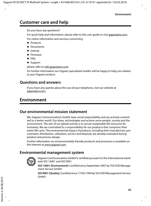### <span id="page-44-5"></span><span id="page-44-0"></span>**Customer care and help**

Do you have any questions?

For quick help and information, please refer to this user guide or visit [gigasetpro.com.](http://www.gigasetpro.com)

For online information and services concerning

- $\triangle$  Products
- $\blacklozenge$  Documents
- $\triangleleft$  Interop
- $\blacktriangleright$  Firmware
- $\triangle$  FAO
- $\triangleleft$  Support

please refer to [wiki.gigasetpro.com](http://wiki.gigasetpro.com).

For further information our Gigaset specialised reseller will be happy to help you related to your Gigaset product.

### <span id="page-44-6"></span><span id="page-44-1"></span>**Questions and answers**

If you have any queries about the use of your telephone, visit our website at [gigasetpro.com](gigasetpro.com.).

# <span id="page-44-7"></span><span id="page-44-2"></span>**Environment**

### <span id="page-44-3"></span>**Our environmental mission statement**

We, Gigaset Communications GmbH, bear social responsibility and are actively committed to a better world. Our ideas, technologies and actions serve people, society and the environment. The aim of our global activity is to secure sustainable life resources for humanity. We are committed to a responsibility for our products that comprises their entire life cycle. The environmental impact of products, including their manufacture, procurement, distribution, utilisation, service and disposal, are already evaluated during product and process design.

Further information on environmentally friendly products and processes is available on the Internet at www.gigaset.com.

### <span id="page-44-4"></span>**Environmental management system**



Gigaset Communications GmbH is certified pursuant to the international standards ISO 14001 and ISO 9001.

**ISO 14001 (Environment):** Certified since September 2007 by TüV SÜD Management Service GmbH.

**ISO 9001 (Quality):** Certified since 17/02/1994 by TüV SÜD Management Service GmbH.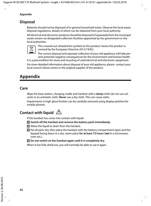```
Appendix
```
### <span id="page-45-5"></span><span id="page-45-0"></span>**Disposal**

Batteries should not be disposed of in general household waste. Observe the local waste disposal regulations, details of which can be obtained from your local authority.

All electrical and electronic products should be disposed of separately from the municipal waste stream via designated collection facilities appointed by the government or the local authorities.



This crossed-out wheeled bin symbol on the product means the product is covered by the European Directive 2012/19/EU.

The correct disposal and separate collection of your old appliance will help prevent potential negative consequences for the environment and human health.

It is a precondition for reuse and recycling of used electrical and electronic equipment.

For more detailed information about disposal of your old appliance, please contact your local council refuse centre or the original supplier of the product.

# <span id="page-45-1"></span>**Appendix**

### <span id="page-45-4"></span><span id="page-45-2"></span>**Care**

Wipe the base station, charging cradle and handset with a **damp** cloth (do not use solvent) or an antistatic cloth. **Never** use a dry cloth. This can cause static.

Impairments in high-gloss finishes can be carefully removed using display polishes for mobile phones.

# <span id="page-45-6"></span><span id="page-45-3"></span>**Contact with liquid !**

If the handset has come into contact with liquid:

- **••** Switch off the handset and remove the battery pack immediately.
- **•** Allow the liquid to drain from the handset.
- **§3** Pat all parts dry, then place the handset with the battery compartment open and the keypad facing down in a dry, warm place **for at least 72 hours** (*not* in a microwave, oven etc.).

**§§4§§ Do not switch on the handset again until it is completely dry.**

When it has fully dried out, you will normally be able to use it again.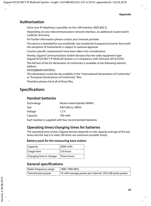### <span id="page-46-3"></span><span id="page-46-0"></span>**Authorisation**

Voice over IP telephony is possible via the LAN interface (IEEE 802.3).

Depending on your telecommunication network interface, an additional router/switch could be necessary.

For further information please contact your Internet provider.

This device is intended for use worldwide. Use outside the European Economic Area (with the exception of Switzerland) is subject to national approval.

Country-specific requirements have been taken into consideration.

Hereby, Gigaset Communications GmbH declares that the radio equipment type Gigaset N720 DECT IP Multicell System is in compliance with Directive 2014/53/EU.

The full text of the EU declaration of conformity is available at the following internet address:

[www.gigaset.com/docs.](http://www.gigaset.com/docs)

This declaration could also be available in the "International Declarations of Conformity" or "European Declarations of Conformity" files.

Therefore please check all of these files.

### <span id="page-46-1"></span>**Specifications**

### <span id="page-46-2"></span>**Handset batteries**

| Nickel-metal-hydride (NiMH) |
|-----------------------------|
| AAA (Micro, HR03)           |
| 1.2V                        |
| 700 mAh                     |
|                             |

Each handset is supplied with four recommended batteries.

### **Operating times/charging times for batteries**

The operating time of your Gigaset devices depends on the capacity and age of the batteries and the way it is used. (All times are maximum possible times).

#### **Battery pack for the measuring base station**

| Capacity                 | 2000 mAh    |
|--------------------------|-------------|
| Usage time               | 5.8 hours   |
| Charging time in charger | Three hours |

### **General specifications**

| Radio frequency range | 1880-1900 MHz                                       |
|-----------------------|-----------------------------------------------------|
| Transmission power    | 10 mW average power per channel, 250 mW pulse power |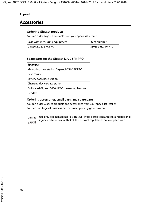### <span id="page-47-0"></span>**Accessories**

### **Ordering Gigaset products**

You can order Gigaset products from your specialist retailer.

| <b>Case with measuring equipment</b> | ∣ltem number      |
|--------------------------------------|-------------------|
| Gigaset N720 SPK PRO                 | S30852-H2316-R101 |

### **Spare parts for the Gigaset N720 SPK PRO**

| Spare part                                     |
|------------------------------------------------|
| Measuring base station Gigaset N720 SPK PRO    |
| Base carrier                                   |
| Battery pack/base station                      |
| Charging device/base station                   |
| Calibrated Gigaset S650H PRO measuring handset |
| Headset                                        |

### **Ordering accessories, small parts and spare parts**

You can order Gigaset products and accessories from your specialist retailer.

You can find Gigaset business partners near you at gigasetpro.com



Use only original accessories. This will avoid possible health risks and personal injury, and also ensure that all the relevant regulations are complied with.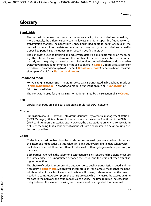### <span id="page-48-0"></span>**Glossary**

### <span id="page-48-5"></span>**Bandwidth**

The bandwidth defines the size or transmission capacity of a transmission channel, or, more precisely, the difference between the lowest and highest possible frequency on a transmission channel. The bandwidth is specified in Hz. For digital data transmission, the bandwidth determines the data volume that can pass through a transmission channel in a specified period, i.e., the transmission speed (specified in bit/s).

The bandwidth used to transmit analogue voice data via a digital transmission medium, e.g., the Internet for VoIP, determines the number of channels that can be used simultaneously and the quality of the voice transmission. How the available bandwidth is used to transmit voice data is determined by the selection of a  $\rightarrow$  **[Codec](#page-48-3)**. Codecs are available for broadband transmission up to 64 Kbit/s (£**[Broadband mode](#page-48-4)**) or narrowband transmission up to 32 Kbit/s ( $\rightarrow$  **[Narrowband mode](#page-50-4)**).

#### <span id="page-48-4"></span><span id="page-48-2"></span>**Broadband mode**

For VoIP (digital transmission medium), voice data is transmitted in broadband mode or **→ [Narrowband mode](#page-50-4).** In broadband mode, a transmission rate or → **[Bandwidth](#page-48-5)** of 64 kbit/s is available.

The bandwidth used for the transmission is determined by the selection of  $a \rightarrow$  **[Codec](#page-48-3).** 

#### <span id="page-48-6"></span>**Cell**

Wireless coverage area of a base station in a multi-cell DECT network.

#### <span id="page-48-1"></span>**Cluster**

Subdivision of a DECT network into groups (subnets) by a central management station (DECT Manager). All telephones in the network use the central functions of the PABX (VoIP configuration, directories, etc.). However, the base stations only synchronise within a cluster, meaning that a handover of a handset from one cluster to a neighbouring cluster is not possible.

#### <span id="page-48-3"></span>**Codec**

Codec is a procedure that digitalises and compresses analogue voice before it is sent via the Internet, and decodes (i.e., translates into analogue voice) digital data when voice packets are received. There are different codecs with differing degrees of compression, for instance.

Both parties involved in the telephone connection (caller/sender and recipient) must use the same codec. This is negotiated between the sender and the recipient when establishing a connection.

The choice of codec is a compromise between voice quality, transmission speed and the necessary  $\rightarrow$  **[Bandwidth](#page-48-5)**. A high level of compression, for example, means that the bandwidth required for each voice connection is low. However, it also means that the time needed to compress/decompress the data is greater, which increases the execution time for data in the network and thus impairs voice quality. The time required increases the delay between the sender speaking and the recipient hearing what has been said.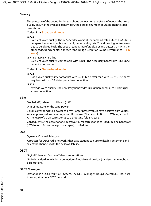#### **Glossary**

The selection of the codec for the telephone connection therefore influences the voice quality and, via the available bandwidth, the possible number of usable channels per base station.

#### Codecs in £**[Broadband mode](#page-48-4)**

#### **G.722**

Excellent voice quality. The G.722 codec works at the same bit rate as G.711 (64 kbit/s per speech connection) but with a higher sampling rate. This allows higher frequencies to be played back. The speech tone is therefore clearer and better than with the other codecs and enables a speech tone in High Definition Sound Performance (£**[HD](#page-50-5)[voice](#page-50-5)**).

#### **G.711 a law/G.711 μ law**

Excellent voice quality (comparable with ISDN). The necessary bandwidth is 64 kbit/s per voice connection.

#### Codecs in £**[Narrowband mode](#page-50-4)**

#### **G.726**

Good voice quality (inferior to that with G.711 but better than with G.729). The necessary bandwidth is 32 kbit/s per voice connection.

#### **G.729**

Average voice quality. The necessary bandwidth is less than or equal to 8 kbit/s per voice connection.

#### <span id="page-49-2"></span><span id="page-49-0"></span>**dBm**

<span id="page-49-6"></span>Decibel (dB) related to milliwatt (mW)

Unit of measure for the send power.

0 dBm corresponds to a power of 1 mW, larger power values have positive dBm values, smaller power values have negative dBm values. The ratio of dBm to mW is logarithmic. An increase of 30 dB corresponds to a thousand fold increase.

Consequently, the power of one microwatt  $(\mu W)$  corresponds to -30 dBm, one nanowatt (nW) to -60 dBm and one picowatt (pW) to -90 dBm.

#### <span id="page-49-3"></span>**DCS**

Dynamic Channel Selection

A process for DECT radio networks that base stations can use to flexibly determine and select the channels with the best availability.

#### <span id="page-49-4"></span>**DECT**

Digital Enhanced Cordless Telecommunications

Global standard for wireless connection of mobile end devices (handsets) to telephone base stations.

#### <span id="page-49-5"></span><span id="page-49-1"></span>**DECT Manager**

Exchange in a DECT multi-cell system. The DECT Manager groups several DECT base stations together as a DECT network.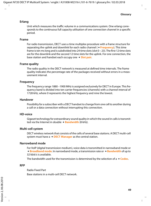#### <span id="page-50-8"></span>**Erlang**

Unit which measures the traffic volume in a communications system. One erlang corresponds to the continuous full capacity utilisation of one connection channel in a specific period.

#### <span id="page-50-7"></span>**Frame**

For radio transmission, DECT uses a time multiplex procedure with a frame structure for separating the uplink and downlink for each radio channel ( $\rightarrow$  **[Frequency](#page-50-6)**). This time frame is ten ms long and is subdivided into 24 time slots (slot 0 – 23). The first 12 time slots are for the downlink and the second 12 time slots for the uplink. For one connection, the base station and handset each occupy one  $\rightarrow$  **[Slot pair](#page-51-4)**.

#### <span id="page-50-2"></span>**Frame quality**

The radio quality in the DECT network is measured at defined time intervals. The frame quality indicates the percentage rate of the packages received without errors in a measurement interval.

#### <span id="page-50-6"></span><span id="page-50-3"></span>**Frequency**

<span id="page-50-9"></span>The frequency range 1880 –1900 MHz is assigned exclusively for DECT in Europe. This frequency band is divided into ten carrier frequencies (channels) with a channel interval of 1728 kHz, where 0 represents the highest frequency and nine the lowest.

#### <span id="page-50-0"></span>**Handover**

Possibility for a subscriber with a DECT handset to change from one cell to another during a call or a data connection without interrupting this connection.

#### <span id="page-50-10"></span><span id="page-50-5"></span>**HD-voice**

Gigaset technology for extraordinary sound quality in which the sound in calls is transmitted via the Internet in double  $\rightarrow$  **[Bandwidth](#page-48-5)** (8 kHz).

#### <span id="page-50-11"></span>**Multi-cell system**

DECT wireless network that consists of the cells of several base stations. A DECT multi-cell system must have a  $\rightarrow$  **[DECT Manager](#page-49-1)** as the central station.

#### <span id="page-50-4"></span><span id="page-50-1"></span>**Narrowband mode**

For VoIP (digital transmission medium), voice data is transmitted in narrowband mode or  $→$  **[Broadband mode](#page-48-4)**. In narrowband mode, a transmission rate or  $→$  **[Bandwidth](#page-48-5)** of up to 32 kbit/s is available.

The bandwidth used for the transmission is determined by the selection of  $a \rightarrow$  **[Codec](#page-48-3).** 

#### **RFP**

<span id="page-50-12"></span>Radio Fixed Part Base stations in a multi-cell DECT network.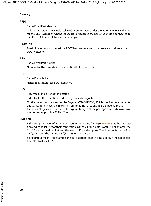#### **Glossary**

#### **RFPI**

<span id="page-51-5"></span>Radio Fixed Part Identity

ID for a base station in a multi-cell DECT network. It includes the number (RPN) and an ID for the DECT Manager. A handset uses it to recognise the base stations it is connected to and the DECT network to which it belongs.

#### <span id="page-51-0"></span>**Roaming**

Possibility for a subscriber with a DECT handset to accept or make calls in all cells of a DECT network.

#### <span id="page-51-2"></span>**RPN**

<span id="page-51-6"></span>Radio Fixed Part Number

Number for the base station in a multi-cell DECT network.

#### **RPP**

<span id="page-51-7"></span>Radio Portable Part

Handset in a multi-cell DECT network.

#### <span id="page-51-3"></span>**RSSI**

Received Signal Strength Indication

Indicator for the reception field strength of radio signals.

On the measuring handsets of the Gigaset N720 SPK PRO, RSSI is specified as a percentage value. In this case, the maximum assumed signal strength is defined as 100%. The percentage value represents the signal strength of the package received as a ratio of the maximum possible RSSI (100%).

#### <span id="page-51-4"></span><span id="page-51-1"></span>**Slot pair**

A slot pair (0–11) identifies the time slots within a time frame (£**[Frame](#page-50-7)**) that the base station and handset use for their connection. Of the 24 time slots (slot 0–23) of a frame, the first 12 are for the downlink and the second 12 for the uplink. The time slot from the first half (0–11) and the second half (12–23) form a slot pair.

Slot pair four means, for example: the base station sends in time slot four, the handset in time slot 16 (four  $+$  12).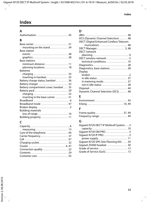# <span id="page-52-0"></span>**Index**

| A                                                            |
|--------------------------------------------------------------|
|                                                              |
| R                                                            |
|                                                              |
| mounting on the stand  34                                    |
| <b>Base station</b>                                          |
| events  28                                                   |
| graphics 28                                                  |
| <b>Base stations</b>                                         |
| minimum distance  11                                         |
| planning locations  18                                       |
| <b>Batteries</b>                                             |
|                                                              |
| inserting in handset 35                                      |
| Battery charge status, handset  36                           |
| Battery charger  32                                          |
| Battery compartment cover, handset  35                       |
|                                                              |
| charging  32<br>inserting in the base carrier  31            |
| Broadband $\ldots \ldots \ldots \ldots \ldots \ldots \ldots$ |
| Broadband mode  47                                           |
|                                                              |
| Building materials                                           |
|                                                              |
| Building property  11                                        |
|                                                              |

# **C**

| Care of the telephone  44 |  |
|---------------------------|--|
| Carrier frequency 37      |  |
|                           |  |
|                           |  |
|                           |  |
|                           |  |
|                           |  |
| Customer care  43         |  |
|                           |  |

### **D**

# **E**

| Environment 43 |  |  |  |  |  |  |  |  |  |  |  |  |  |
|----------------|--|--|--|--|--|--|--|--|--|--|--|--|--|
| Erlang 14, 49  |  |  |  |  |  |  |  |  |  |  |  |  |  |

### **F**

### **G**

| Gigaset N720 DECT IP Multicell System3  |  |
|-----------------------------------------|--|
|                                         |  |
| Gigaset N720 DM PRO 3                   |  |
|                                         |  |
| power supply 11                         |  |
| Gigaset N720 SPK (Site Planning Kit) 29 |  |
| Gigaset ZX400 headset  30               |  |
|                                         |  |
| Grade of Service (GoS)  13              |  |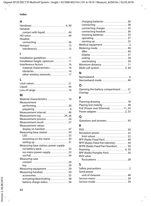### **Index**

### **H**

| Handover 4, 49<br>Handset |  |
|---------------------------|--|
|                           |  |
| contact with liquid  44   |  |
| HD-voice  49              |  |
| Headset                   |  |
|                           |  |
|                           |  |
| interference  15          |  |

### **I**

| Installation guidelines  11     |  |
|---------------------------------|--|
| Installation height, optimum 11 |  |
| Interference factors  16        |  |
| material characteristics 16     |  |
|                                 |  |
| other wireless networks  17     |  |

### **L**

| Loss of range  16 |  |
|-------------------|--|

### **M**

| Material characteristics  16                                            |
|-------------------------------------------------------------------------|
| Measurement                                                             |
|                                                                         |
| preparing 9                                                             |
| Measurement interval 40                                                 |
| Measurement log  24, 26                                                 |
| Measurement process 24                                                  |
| Measurement result 27                                                   |
| Measurement values                                                      |
| display on handset  37                                                  |
| Measuring base station  29                                              |
|                                                                         |
| mounting on the stand  34                                               |
| setting up $\ldots \ldots \ldots \ldots \ldots \ldots \ldots \ldots$ 31 |
| Measuring base station, power supply                                    |
| via battery pack 32                                                     |
| via mains power supply. 33                                              |
|                                                                         |
| Measuring case                                                          |
|                                                                         |
| key  29                                                                 |
| Measuring equipment 29                                                  |
| Measuring handset 30                                                    |
| accessories  35                                                         |
| activating/deactivating 38                                              |
| battery charge status 36                                                |

### **N**

| Narrowband mode 49 |  |  |  |  |  |  |  |  |  |
|--------------------|--|--|--|--|--|--|--|--|--|

### **O**

| Opening the battery compartment 31 |  |
|------------------------------------|--|
|                                    |  |

### **P**

| Planning drawing  18              |  |
|-----------------------------------|--|
| Playing test melody  38           |  |
| PoE (Power over Ethernet)  11, 34 |  |
|                                   |  |

### **Q**

| Questions and answers  43 |  |  |
|---------------------------|--|--|
|                           |  |  |

### **R**

| RFP (Radio Fixed Part)  49                                  |  |
|-------------------------------------------------------------|--|
| RFPI (Radio Fixed Part Identity)  50                        |  |
| RFPN (Radio Fixed Part Number) 50                           |  |
|                                                             |  |
| RPP (Radio Portable Part)  50                               |  |
| <b>RSSI</b> value                                           |  |
| fluctuations $\ldots \ldots \ldots \ldots \ldots \ldots$ 28 |  |

### **S**

| Send power       |  |
|------------------|--|
|                  |  |
|                  |  |
| Service mode  39 |  |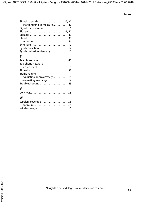| Signal strength22, 37                                                 |  |
|-----------------------------------------------------------------------|--|
| changing unit of measure 40                                           |  |
|                                                                       |  |
|                                                                       |  |
|                                                                       |  |
|                                                                       |  |
| mounting $\ldots \ldots \ldots \ldots \ldots \ldots \ldots \ldots$ 34 |  |
| Sync level 12                                                         |  |
| Synchronisation 12                                                    |  |
| Synchronisation hierarchy  12                                         |  |

### **T**

| Telephone care  43          |
|-----------------------------|
| Telephone network           |
|                             |
|                             |
| Traffic volume              |
| evaluating approximately 15 |
| evaluating in erlangs  14   |
| Troubleshooting  43         |
| v                           |
| VoIP PABX 3                 |

### **W**

| Wireless coverage 5 |  |
|---------------------|--|
| optimum5            |  |
|                     |  |